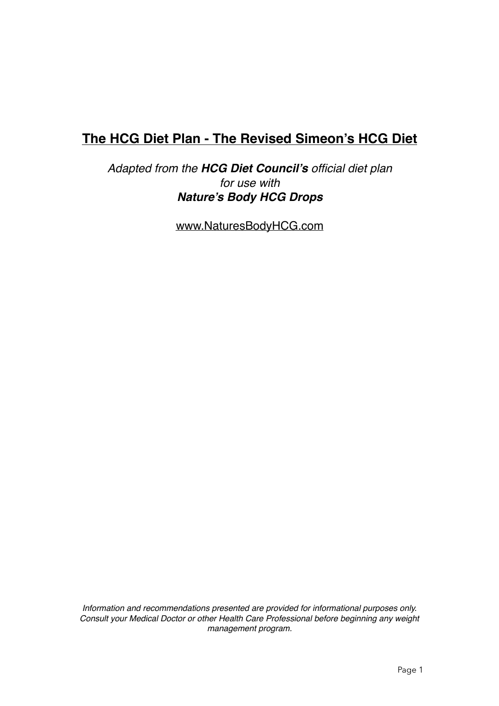# **The HCG Diet Plan - The Revised Simeon's HCG Diet**

*Adapted from the HCG Diet Council's official diet plan for use with Nature's Body HCG Drops*

[www.NaturesBodyHCG.com](http://www.NaturesBodyHCG.com)

*Information and recommendations presented are provided for informational purposes only. Consult your Medical Doctor or other Health Care Professional before beginning any weight management program.*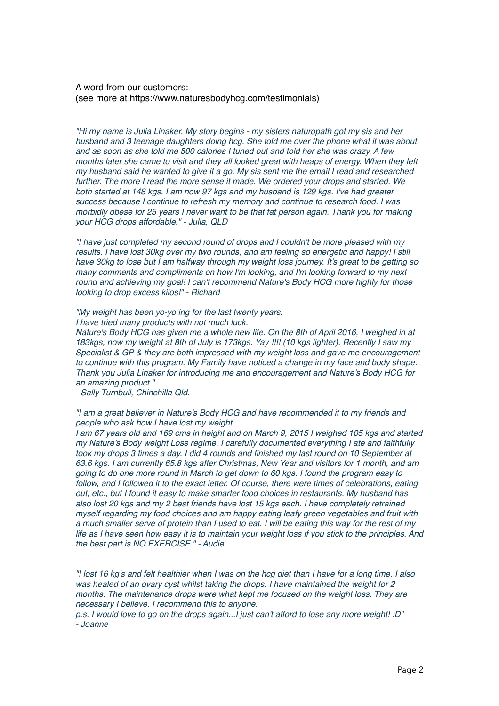### A word from our customers: (see more at <https://www.naturesbodyhcg.com/testimonials>)

*"Hi my name is Julia Linaker. My story begins - my sisters naturopath got my sis and her husband and 3 teenage daughters doing hcg. She told me over the phone what it was about and as soon as she told me 500 calories I tuned out and told her she was crazy. A few months later she came to visit and they all looked great with heaps of energy. When they left my husband said he wanted to give it a go. My sis sent me the email I read and researched further. The more I read the more sense it made. We ordered your drops and started. We both started at 148 kgs. I am now 97 kgs and my husband is 129 kgs. I've had greater success because I continue to refresh my memory and continue to research food. I was morbidly obese for 25 years I never want to be that fat person again. Thank you for making your HCG drops affordable." - Julia, QLD*

*"I have just completed my second round of drops and I couldn't be more pleased with my results. I have lost 30kg over my two rounds, and am feeling so energetic and happy! I still have 30kg to lose but I am halfway through my weight loss journey. It's great to be getting so many comments and compliments on how I'm looking, and I'm looking forward to my next round and achieving my goal! I can't recommend Nature's Body HCG more highly for those looking to drop excess kilos!" - Richard*

*"My weight has been yo-yo ing for the last twenty years.*

*I have tried many products with not much luck.*

*Nature's Body HCG has given me a whole new life. On the 8th of April 2016, I weighed in at 183kgs, now my weight at 8th of July is 173kgs. Yay !!!! (10 kgs lighter). Recently I saw my Specialist & GP & they are both impressed with my weight loss and gave me encouragement to continue with this program. My Family have noticed a change in my face and body shape. Thank you Julia Linaker for introducing me and encouragement and Nature's Body HCG for an amazing product."*

*- Sally Turnbull, Chinchilla Qld.*

*"I am a great believer in Nature's Body HCG and have recommended it to my friends and people who ask how I have lost my weight.*

*I am 67 years old and 169 cms in height and on March 9, 2015 I weighed 105 kgs and started my Nature's Body weight Loss regime. I carefully documented everything I ate and faithfully took my drops 3 times a day. I did 4 rounds and finished my last round on 10 September at 63.6 kgs. I am currently 65.8 kgs after Christmas, New Year and visitors for 1 month, and am going to do one more round in March to get down to 60 kgs. I found the program easy to follow, and I followed it to the exact letter. Of course, there were times of celebrations, eating out, etc., but I found it easy to make smarter food choices in restaurants. My husband has also lost 20 kgs and my 2 best friends have lost 15 kgs each. I have completely retrained myself regarding my food choices and am happy eating leafy green vegetables and fruit with a much smaller serve of protein than I used to eat. I will be eating this way for the rest of my life as I have seen how easy it is to maintain your weight loss if you stick to the principles. And the best part is NO EXERCISE." - Audie*

*"I lost 16 kg's and felt healthier when I was on the hcg diet than I have for a long time. I also was healed of an ovary cyst whilst taking the drops. I have maintained the weight for 2 months. The maintenance drops were what kept me focused on the weight loss. They are necessary I believe. I recommend this to anyone.*

*p.s. I would love to go on the drops again...I just can't afford to lose any more weight! :D" - Joanne*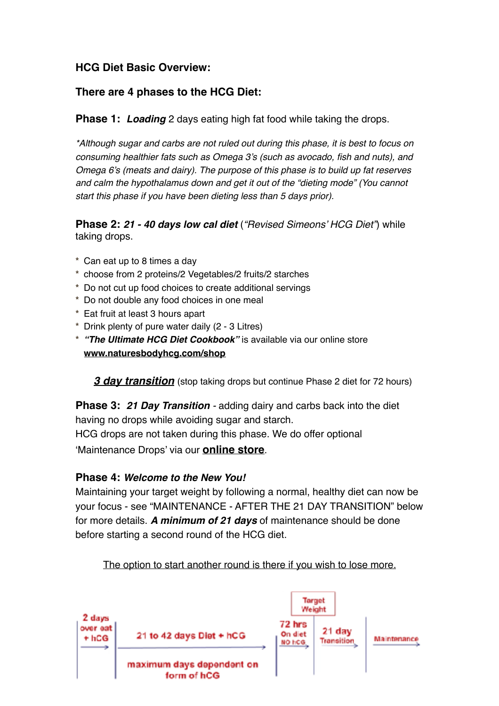# **HCG Diet Basic Overview:**

# **There are 4 phases to the HCG Diet:**

**Phase 1:** *Loading* 2 days eating high fat food while taking the drops.

*\*Although sugar and carbs are not ruled out during this phase, it is best to focus on consuming healthier fats such as Omega 3's (such as avocado, fish and nuts), and Omega 6's (meats and dairy). The purpose of this phase is to build up fat reserves and calm the hypothalamus down and get it out of the "dieting mode" (You cannot start this phase if you have been dieting less than 5 days prior).*

**Phase 2:** *21 - 40 days low cal diet* (*"Revised Simeons' HCG Diet"*) while taking drops.

- **\*** Can eat up to 8 times a day
- **\*** choose from 2 proteins/2 Vegetables/2 fruits/2 starches
- **\*** Do not cut up food choices to create additional servings
- **\*** Do not double any food choices in one meal
- **\*** Eat fruit at least 3 hours apart
- **\*** Drink plenty of pure water daily (2 3 Litres)
- **\*** *"The Ultimate HCG Diet Cookbook"* is available via our online store **[www.naturesbodyhcg.com/shop](http://www.naturesbodyhcg.com/shop)**

*3 day transition* (stop taking drops but continue Phase 2 diet for 72 hours)

**Phase 3:** *21 Day Transition -* adding dairy and carbs back into the diet having no drops while avoiding sugar and starch. HCG drops are not taken during this phase. We do offer optional

'Maintenance Drops' via our **[online store](http://www.naturesbodyhcg.com/shop)**.

# **Phase 4:** *Welcome to the New You!*

Maintaining your target weight by following a normal, healthy diet can now be your focus - see "MAINTENANCE - AFTER THE 21 DAY TRANSITION" below for more details. *A minimum of 21 days* of maintenance should be done before starting a second round of the HCG diet.



The option to start another round is there if you wish to lose more.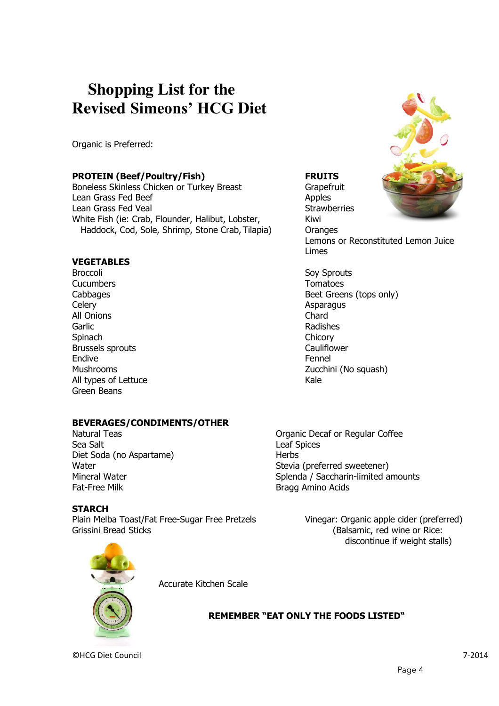# **Shopping List for the Revised Simeons' HCG Diet**

Organic is Preferred:

### **PROTEIN (Beef/Poultry/Fish) FRUITS**

Boneless Skinless Chicken or Turkey Breast Grapefruit Lean Grass Fed Beef Apples Lean Grass Fed Veal Strawberries White Fish (ie: Crab, Flounder, Halibut, Lobster, Kiwi Haddock, Cod, Sole, Shrimp, Stone Crab, Tilapia) Oranges

### **VEGETABLES**

Broccoli Sov Sprouts Cucumbers Tomatoes Celery **Asparagus** Celery **Asparagus** All Onions Chard Garlic **Garlic** Radishes Spinach **Chicory** Chicory Brussels sprouts Cauliflower Endive **Fennel** All types of Lettuce Kale Green Beans

# **BEVERAGES/CONDIMENTS/OTHER**

Sea Salt **Leaf Spices** Diet Soda (no Aspartame) Herbs Fat-Free Milk Bragg Amino Acids

### **STARCH**

Plain Melba Toast/Fat Free-Sugar Free Pretzels Vinegar: Organic apple cider (preferred) Grissini Bread Sticks (Balsamic, red wine or Rice:



Lemons or Reconstituted Lemon Juice Limes

Cabbages **Beet Greens** (tops only) Mushrooms **Zucchini** (No squash)

Natural Teas **Natural Teas Natural Teas Organic Decaf or Regular Coffee** Water Water Stevia (preferred sweetener) Mineral Water **Mineral Water Splenda** / Saccharin-limited amounts

discontinue if weight stalls)



Accurate Kitchen Scale

 **REMEMBER "EAT ONLY THE FOODS LISTED"**

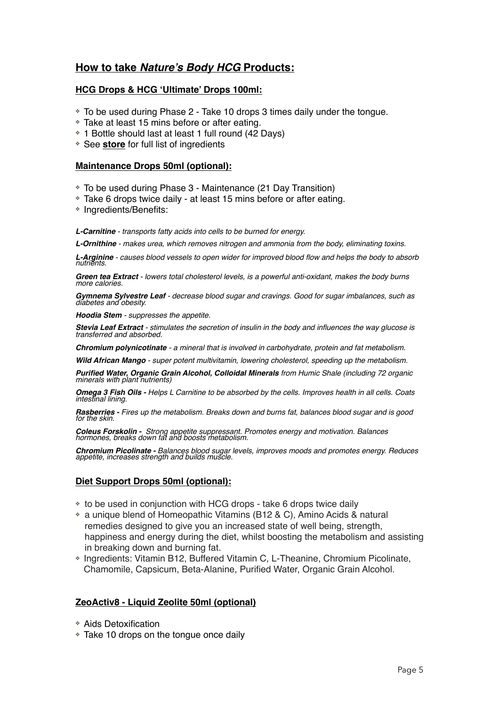# **How to take** *Nature's Body HCG* **Products:**

### **HCG Drops & HCG 'Ultimate' Drops 100ml:**

- ❖ To be used during Phase 2 Take 10 drops 3 times daily under the tongue.
- ❖ Take at least 15 mins before or after eating.
- ❖ 1 Bottle should last at least 1 full round (42 Days)
- ❖ See **[store](http://www.naturesbodyhcg.com/shop)** for full list of ingredients

### **Maintenance Drops 50ml (optional):**

- ❖ To be used during Phase 3 Maintenance (21 Day Transition)
- ❖ Take 6 drops twice daily at least 15 mins before or after eating.
- ❖ Ingredients/Benefits:

*L-Carnitine - transports fatty acids into cells to be burned for energy.*

*L-Ornithine - makes urea, which removes nitrogen and ammonia from the body, eliminating toxins.*

*L-Arginine - causes blood vessels to open wider for improved blood flow and helps the body to absorb nutrients.*

*Green tea Extract - lowers total cholesterol levels, is a powerful anti-oxidant, makes the body burns more calories.*

*Gymnema Sylvestre Leaf - decrease blood sugar and cravings. Good for sugar imbalances, such as diabetes and obesity.*

*Hoodia Stem - suppresses the appetite.*

*Stevia Leaf Extract - stimulates the secretion of insulin in the body and influences the way glucose is transferred and absorbed.*

*Chromium polynicotinate - a mineral that is involved in carbohydrate, protein and fat metabolism.*

*Wild African Mango - super potent multivitamin, lowering cholesterol, speeding up the metabolism.*

*Purified Water, Organic Grain Alcohol, Colloidal Minerals from Humic Shale (including 72 organic minerals with plant nutrients)*

*Omega 3 Fish Oils - Helps L Carnitine to be absorbed by the cells. Improves health in all cells. Coats intestinal lining.*

*Rasberries - Fires up the metabolism. Breaks down and burns fat, balances blood sugar and is good for the skin.*

*Coleus Forskolin - Strong appetite suppressant. Promotes energy and motivation. Balances hormones, breaks down fat and boosts metabolism.*

*Chromium Picolinate - Balances blood sugar levels, improves moods and promotes energy. Reduces appetite, increases strength and builds muscle.*

### **Diet Support Drops 50ml (optional):**

- ❖ to be used in conjunction with HCG drops take 6 drops twice daily
- ❖ a unique blend of Homeopathic Vitamins (B12 & C), Amino Acids & natural remedies designed to give you an increased state of well being, strength, happiness and energy during the diet, whilst boosting the metabolism and assisting in breaking down and burning fat.
- ❖ Ingredients: Vitamin B12, Buffered Vitamin C, L-Theanine, Chromium Picolinate, Chamomile, Capsicum, Beta-Alanine, Purified Water, Organic Grain Alcohol.

### **ZeoActiv8 - Liquid Zeolite 50ml (optional)**

- ❖ Aids Detoxification
- ❖ Take 10 drops on the tongue once daily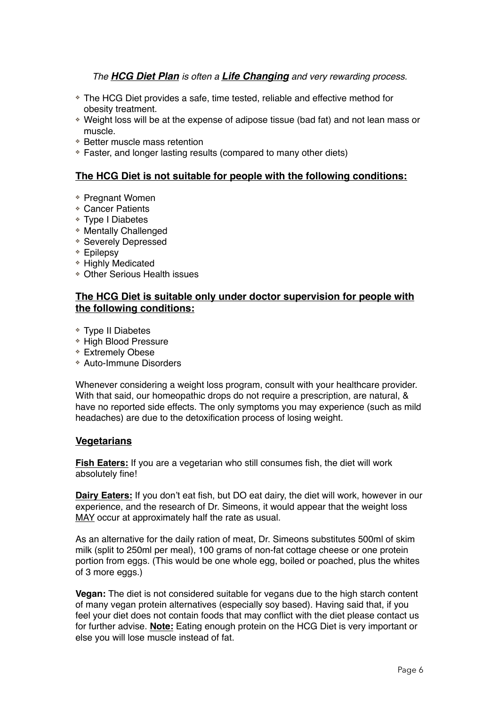*The HCG Diet Plan is often a Life Changing and very rewarding process.*

- ❖ The HCG Diet provides a safe, time tested, reliable and effective method for obesity treatment.
- ❖ Weight loss will be at the expense of adipose tissue (bad fat) and not lean mass or muscle.
- ❖ Better muscle mass retention
- ❖ Faster, and longer lasting results (compared to many other diets)

### **The HCG Diet is not suitable for people with the following conditions:**

- ❖ Pregnant Women
- ❖ Cancer Patients
- ❖ Type I Diabetes
- ❖ Mentally Challenged
- ❖ Severely Depressed
- ❖ Epilepsy
- ❖ Highly Medicated
- ❖ Other Serious Health issues

### **The HCG Diet is suitable only under doctor supervision for people with the following conditions:**

- ❖ Type II Diabetes
- ❖ High Blood Pressure
- ❖ Extremely Obese
- ❖ Auto-Immune Disorders

Whenever considering a weight loss program, consult with your healthcare provider. With that said, our homeopathic drops do not require a prescription, are natural, & have no reported side effects. The only symptoms you may experience (such as mild headaches) are due to the detoxification process of losing weight.

### **Vegetarians**

**Fish Eaters:** If you are a vegetarian who still consumes fish, the diet will work absolutely fine!

**Dairy Eaters:** If you don't eat fish, but DO eat dairy, the diet will work, however in our experience, and the research of Dr. Simeons, it would appear that the weight loss MAY occur at approximately half the rate as usual.

As an alternative for the daily ration of meat, Dr. Simeons substitutes 500ml of skim milk (split to 250ml per meal), 100 grams of non-fat cottage cheese or one protein portion from eggs. (This would be one whole egg, boiled or poached, plus the whites of 3 more eggs.)

**Vegan:** The diet is not considered suitable for vegans due to the high starch content of many vegan protein alternatives (especially soy based). Having said that, if you feel your diet does not contain foods that may conflict with the diet please contact us for further advise. **Note:** Eating enough protein on the HCG Diet is very important or else you will lose muscle instead of fat.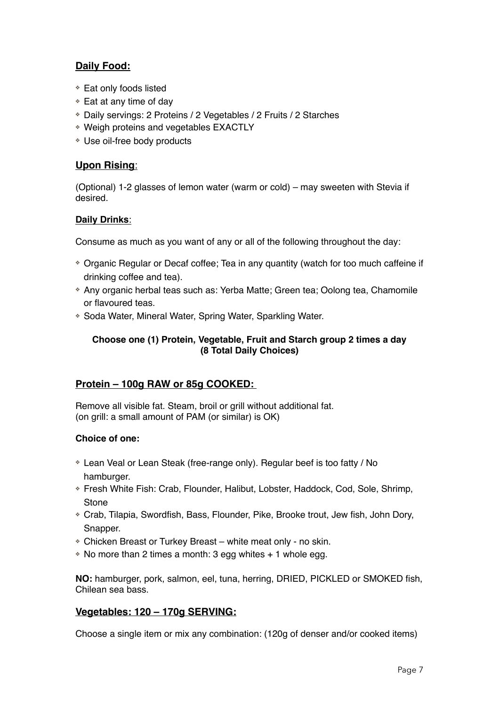# **Daily Food:**

- ❖ Eat only foods listed
- ❖ Eat at any time of day
- ❖ Daily servings: 2 Proteins / 2 Vegetables / 2 Fruits / 2 Starches
- ❖ Weigh proteins and vegetables EXACTLY
- ❖ Use oil-free body products

# **Upon Rising**:

(Optional) 1-2 glasses of lemon water (warm or cold) – may sweeten with Stevia if desired.

# **Daily Drinks**:

Consume as much as you want of any or all of the following throughout the day:

- ❖ Organic Regular or Decaf coffee; Tea in any quantity (watch for too much caffeine if drinking coffee and tea).
- ❖ Any organic herbal teas such as: Yerba Matte; Green tea; Oolong tea, Chamomile or flavoured teas.
- ❖ Soda Water, Mineral Water, Spring Water, Sparkling Water.

# **Choose one (1) Protein, Vegetable, Fruit and Starch group 2 times a day (8 Total Daily Choices)**

# **Protein – 100g RAW or 85g COOKED:**

Remove all visible fat. Steam, broil or grill without additional fat. (on grill: a small amount of PAM (or similar) is OK)

# **Choice of one:**

- ❖ Lean Veal or Lean Steak (free-range only). Regular beef is too fatty / No hamburger.
- ❖ Fresh White Fish: Crab, Flounder, Halibut, Lobster, Haddock, Cod, Sole, Shrimp, **Stone**
- ❖ Crab, Tilapia, Swordfish, Bass, Flounder, Pike, Brooke trout, Jew fish, John Dory, Snapper.
- ❖ Chicken Breast or Turkey Breast white meat only no skin.
- ❖ No more than 2 times a month: 3 egg whites + 1 whole egg.

**NO:** hamburger, pork, salmon, eel, tuna, herring, DRIED, PICKLED or SMOKED fish, Chilean sea bass.

# **Vegetables: 120 – 170g SERVING:**

Choose a single item or mix any combination: (120g of denser and/or cooked items)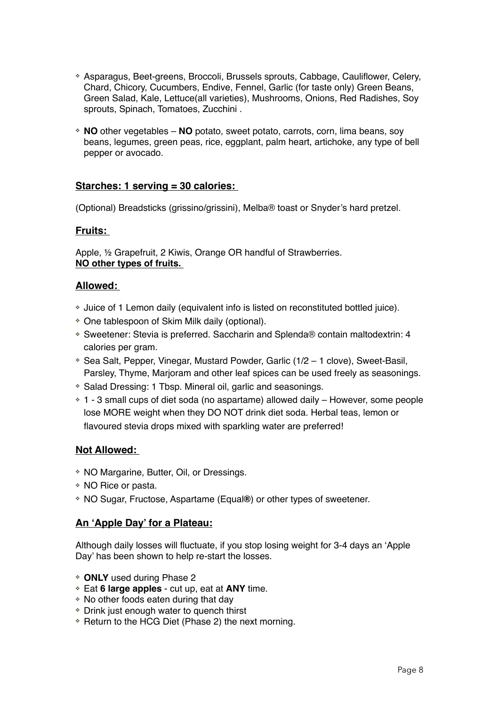- ❖ Asparagus, Beet-greens, Broccoli, Brussels sprouts, Cabbage, Cauliflower, Celery, Chard, Chicory, Cucumbers, Endive, Fennel, Garlic (for taste only) Green Beans, Green Salad, Kale, Lettuce(all varieties), Mushrooms, Onions, Red Radishes, Soy sprouts, Spinach, Tomatoes, Zucchini .
- ❖ **NO** other vegetables **NO** potato, sweet potato, carrots, corn, lima beans, soy beans, legumes, green peas, rice, eggplant, palm heart, artichoke, any type of bell pepper or avocado.

### **Starches: 1 serving = 30 calories:**

(Optional) Breadsticks (grissino/grissini), Melba® toast or Snyder's hard pretzel.

### **Fruits:**

Apple, ½ Grapefruit, 2 Kiwis, Orange OR handful of Strawberries. **NO other types of fruits.** 

### **Allowed:**

- ❖ Juice of 1 Lemon daily (equivalent info is listed on reconstituted bottled juice).
- ❖ One tablespoon of Skim Milk daily (optional).
- ❖ Sweetener: Stevia is preferred. Saccharin and Splenda® contain maltodextrin: 4 calories per gram.
- ❖ Sea Salt, Pepper, Vinegar, Mustard Powder, Garlic (1/2 1 clove), Sweet-Basil, Parsley, Thyme, Marjoram and other leaf spices can be used freely as seasonings.
- ❖ Salad Dressing: 1 Tbsp. Mineral oil, garlic and seasonings.
- ❖ 1 3 small cups of diet soda (no aspartame) allowed daily However, some people lose MORE weight when they DO NOT drink diet soda. Herbal teas, lemon or flavoured stevia drops mixed with sparkling water are preferred!

### **Not Allowed:**

- ❖ NO Margarine, Butter, Oil, or Dressings.
- ❖ NO Rice or pasta.
- ❖ NO Sugar, Fructose, Aspartame (Equal**®**) or other types of sweetener.

### **An 'Apple Day' for a Plateau:**

Although daily losses will fluctuate, if you stop losing weight for 3-4 days an 'Apple Day' has been shown to help re-start the losses.

- ❖ **ONLY** used during Phase 2
- ❖ Eat **6 large apples** cut up, eat at **ANY** time.
- ❖ No other foods eaten during that day
- ❖ Drink just enough water to quench thirst
- ❖ Return to the HCG Diet (Phase 2) the next morning.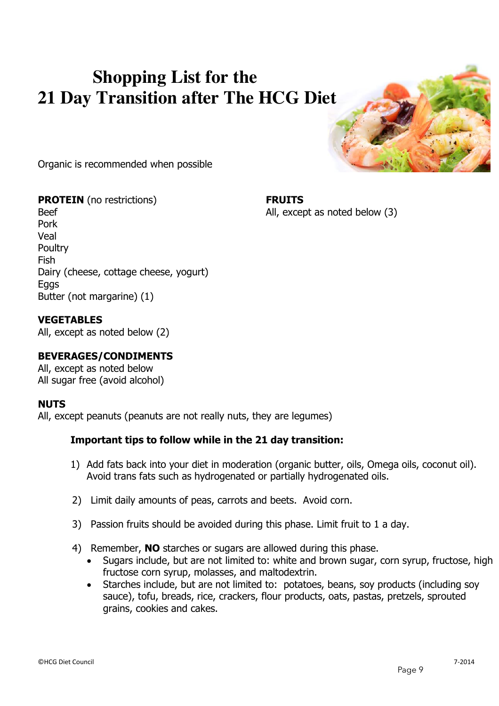# **Shopping List for the 21 Day Transition after The HCG Diet**



Organic is recommended when possible

**PROTEIN** (no restrictions) **FRUITS** Beef Beef All, except as noted below (3) Pork Veal **Poultry** Fish Dairy (cheese, cottage cheese, yogurt) Eggs Butter (not margarine) (1)

# **VEGETABLES**

All, except as noted below (2)

# **BEVERAGES/CONDIMENTS**

All, except as noted below All sugar free (avoid alcohol)

# **NUTS**

All, except peanuts (peanuts are not really nuts, they are legumes)

# **Important tips to follow while in the 21 day transition:**

- 1) Add fats back into your diet in moderation (organic butter, oils, Omega oils, coconut oil). Avoid trans fats such as hydrogenated or partially hydrogenated oils.
- 2) Limit daily amounts of peas, carrots and beets. Avoid corn.
- 3) Passion fruits should be avoided during this phase. Limit fruit to 1 a day.
- 4) Remember, **NO** starches or sugars are allowed during this phase.
	- Sugars include, but are not limited to: white and brown sugar, corn syrup, fructose, high fructose corn syrup, molasses, and maltodextrin.
	- Starches include, but are not limited to: potatoes, beans, soy products (including soy sauce), tofu, breads, rice, crackers, flour products, oats, pastas, pretzels, sprouted grains, cookies and cakes.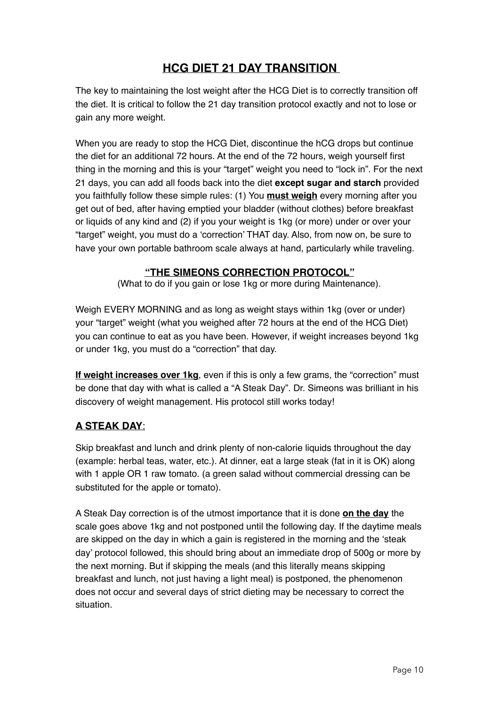# **HCG DIET 21 DAY TRANSITION**

The key to maintaining the lost weight after the HCG Diet is to correctly transition off the diet. It is critical to follow the 21 day transition protocol exactly and not to lose or gain any more weight.

When you are ready to stop the HCG Diet, discontinue the hCG drops but continue the diet for an additional 72 hours. At the end of the 72 hours, weigh yourself first thing in the morning and this is your "target" weight you need to "lock in". For the next 21 days, you can add all foods back into the diet **except sugar and starch** provided you faithfully follow these simple rules: (1) You **must weigh** every morning after you get out of bed, after having emptied your bladder (without clothes) before breakfast or liquids of any kind and (2) if you your weight is 1kg (or more) under or over your "target" weight, you must do a 'correction' THAT day. Also, from now on, be sure to have your own portable bathroom scale always at hand, particularly while traveling.

# **"THE SIMEONS CORRECTION PROTOCOL"**

(What to do if you gain or lose 1kg or more during Maintenance).

Weigh EVERY MORNING and as long as weight stays within 1kg (over or under) your "target" weight (what you weighed after 72 hours at the end of the HCG Diet) you can continue to eat as you have been. However, if weight increases beyond 1kg or under 1kg, you must do a "correction" that day.

**If weight increases over 1kg**, even if this is only a few grams, the "correction" must be done that day with what is called a "A Steak Day". Dr. Simeons was brilliant in his discovery of weight management. His protocol still works today!

# **A STEAK DAY**:

Skip breakfast and lunch and drink plenty of non-calorie liquids throughout the day (example: herbal teas, water, etc.). At dinner, eat a large steak (fat in it is OK) along with 1 apple OR 1 raw tomato. (a green salad without commercial dressing can be substituted for the apple or tomato).

A Steak Day correction is of the utmost importance that it is done **on the day** the scale goes above 1kg and not postponed until the following day. If the daytime meals are skipped on the day in which a gain is registered in the morning and the 'steak day' protocol followed, this should bring about an immediate drop of 500g or more by the next morning. But if skipping the meals (and this literally means skipping breakfast and lunch, not just having a light meal) is postponed, the phenomenon does not occur and several days of strict dieting may be necessary to correct the situation.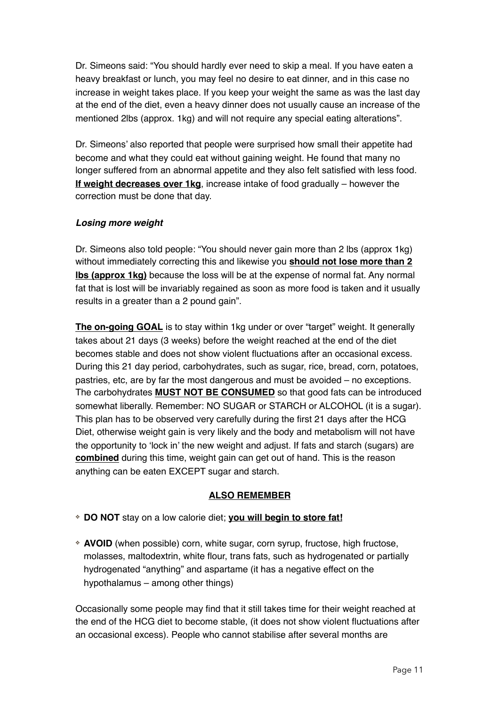Dr. Simeons said: "You should hardly ever need to skip a meal. If you have eaten a heavy breakfast or lunch, you may feel no desire to eat dinner, and in this case no increase in weight takes place. If you keep your weight the same as was the last day at the end of the diet, even a heavy dinner does not usually cause an increase of the mentioned 2lbs (approx. 1kg) and will not require any special eating alterations".

Dr. Simeons' also reported that people were surprised how small their appetite had become and what they could eat without gaining weight. He found that many no longer suffered from an abnormal appetite and they also felt satisfied with less food. **If weight decreases over 1kg**, increase intake of food gradually – however the correction must be done that day.

# *Losing more weight*

Dr. Simeons also told people: "You should never gain more than 2 lbs (approx 1kg) without immediately correcting this and likewise you **should not lose more than 2 lbs (approx 1kg)** because the loss will be at the expense of normal fat. Any normal fat that is lost will be invariably regained as soon as more food is taken and it usually results in a greater than a 2 pound gain".

**The on-going GOAL** is to stay within 1kg under or over "target" weight. It generally takes about 21 days (3 weeks) before the weight reached at the end of the diet becomes stable and does not show violent fluctuations after an occasional excess. During this 21 day period, carbohydrates, such as sugar, rice, bread, corn, potatoes, pastries, etc, are by far the most dangerous and must be avoided – no exceptions. The carbohydrates **MUST NOT BE CONSUMED** so that good fats can be introduced somewhat liberally. Remember: NO SUGAR or STARCH or ALCOHOL (it is a sugar). This plan has to be observed very carefully during the first 21 days after the HCG Diet, otherwise weight gain is very likely and the body and metabolism will not have the opportunity to 'lock in' the new weight and adjust. If fats and starch (sugars) are **combined** during this time, weight gain can get out of hand. This is the reason anything can be eaten EXCEPT sugar and starch.

# **ALSO REMEMBER**

- ❖ **DO NOT** stay on a low calorie diet; **you will begin to store fat!**
- ❖ **AVOID** (when possible) corn, white sugar, corn syrup, fructose, high fructose, molasses, maltodextrin, white flour, trans fats, such as hydrogenated or partially hydrogenated "anything" and aspartame (it has a negative effect on the hypothalamus – among other things)

Occasionally some people may find that it still takes time for their weight reached at the end of the HCG diet to become stable, (it does not show violent fluctuations after an occasional excess). People who cannot stabilise after several months are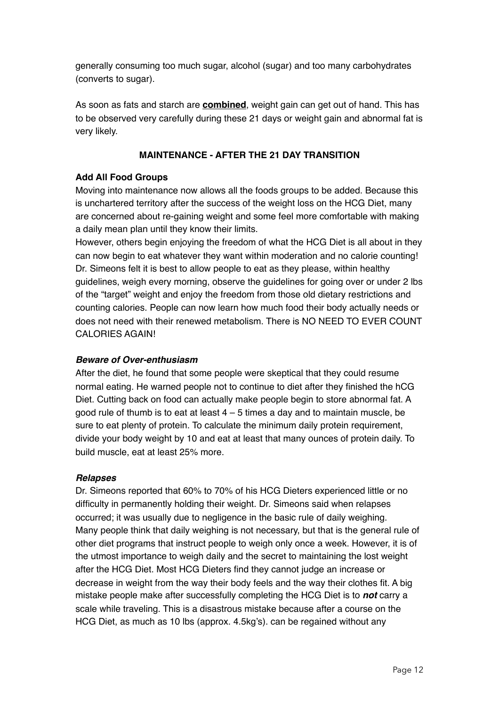generally consuming too much sugar, alcohol (sugar) and too many carbohydrates (converts to sugar).

As soon as fats and starch are **combined**, weight gain can get out of hand. This has to be observed very carefully during these 21 days or weight gain and abnormal fat is very likely.

# **MAINTENANCE - AFTER THE 21 DAY TRANSITION**

# **Add All Food Groups**

Moving into maintenance now allows all the foods groups to be added. Because this is unchartered territory after the success of the weight loss on the HCG Diet, many are concerned about re-gaining weight and some feel more comfortable with making a daily mean plan until they know their limits.

However, others begin enjoying the freedom of what the HCG Diet is all about in they can now begin to eat whatever they want within moderation and no calorie counting! Dr. Simeons felt it is best to allow people to eat as they please, within healthy guidelines, weigh every morning, observe the guidelines for going over or under 2 lbs of the "target" weight and enjoy the freedom from those old dietary restrictions and counting calories. People can now learn how much food their body actually needs or does not need with their renewed metabolism. There is NO NEED TO EVER COUNT CALORIES AGAIN!

# *Beware of Over-enthusiasm*

After the diet, he found that some people were skeptical that they could resume normal eating. He warned people not to continue to diet after they finished the hCG Diet. Cutting back on food can actually make people begin to store abnormal fat. A good rule of thumb is to eat at least  $4 - 5$  times a day and to maintain muscle, be sure to eat plenty of protein. To calculate the minimum daily protein requirement, divide your body weight by 10 and eat at least that many ounces of protein daily. To build muscle, eat at least 25% more.

# *Relapses*

Dr. Simeons reported that 60% to 70% of his HCG Dieters experienced little or no difficulty in permanently holding their weight. Dr. Simeons said when relapses occurred; it was usually due to negligence in the basic rule of daily weighing. Many people think that daily weighing is not necessary, but that is the general rule of other diet programs that instruct people to weigh only once a week. However, it is of the utmost importance to weigh daily and the secret to maintaining the lost weight after the HCG Diet. Most HCG Dieters find they cannot judge an increase or decrease in weight from the way their body feels and the way their clothes fit. A big mistake people make after successfully completing the HCG Diet is to *not* carry a scale while traveling. This is a disastrous mistake because after a course on the HCG Diet, as much as 10 lbs (approx. 4.5kg's). can be regained without any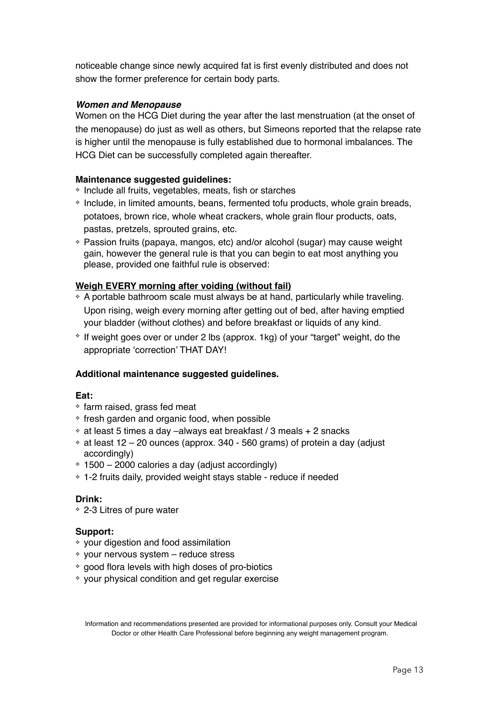noticeable change since newly acquired fat is first evenly distributed and does not show the former preference for certain body parts.

### *Women and Menopause*

Women on the HCG Diet during the year after the last menstruation (at the onset of the menopause) do just as well as others, but Simeons reported that the relapse rate is higher until the menopause is fully established due to hormonal imbalances. The HCG Diet can be successfully completed again thereafter.

### **Maintenance suggested guidelines:**

- ❖ Include all fruits, vegetables, meats, fish or starches
- ❖ Include, in limited amounts, beans, fermented tofu products, whole grain breads, potatoes, brown rice, whole wheat crackers, whole grain flour products, oats, pastas, pretzels, sprouted grains, etc.
- ❖ Passion fruits (papaya, mangos, etc) and/or alcohol (sugar) may cause weight gain, however the general rule is that you can begin to eat most anything you please, provided one faithful rule is observed:

### **Weigh EVERY morning after voiding (without fail)**

- ❖ A portable bathroom scale must always be at hand, particularly while traveling. Upon rising, weigh every morning after getting out of bed, after having emptied your bladder (without clothes) and before breakfast or liquids of any kind.
- ❖ If weight goes over or under 2 lbs (approx. 1kg) of your "target" weight, do the appropriate 'correction' THAT DAY!

# **Additional maintenance suggested guidelines.**

### **Eat:**

- ❖ farm raised, grass fed meat
- ❖ fresh garden and organic food, when possible
- ❖ at least 5 times a day –always eat breakfast / 3 meals + 2 snacks
- ❖ at least 12 20 ounces (approx. 340 560 grams) of protein a day (adjust accordingly)
- ❖ 1500 2000 calories a day (adjust accordingly)
- ❖ 1-2 fruits daily, provided weight stays stable reduce if needed

# **Drink:**

❖ 2-3 Litres of pure water

### **Support:**

- ❖ your digestion and food assimilation
- ❖ your nervous system reduce stress
- ❖ good flora levels with high doses of pro-biotics
- ❖ your physical condition and get regular exercise

Information and recommendations presented are provided for informational purposes only. Consult your Medical Doctor or other Health Care Professional before beginning any weight management program.